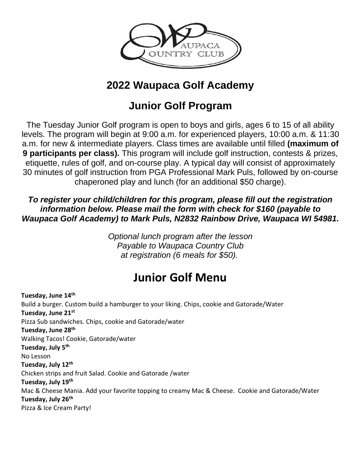

## **2022 Waupaca Golf Academy**

## **Junior Golf Program**

The Tuesday Junior Golf program is open to boys and girls, ages 6 to 15 of all ability levels. The program will begin at 9:00 a.m. for experienced players, 10:00 a.m. & 11:30 a.m. for new & intermediate players. Class times are available until filled **(maximum of 9 participants per class).** This program will include golf instruction, contests & prizes, etiquette, rules of golf, and on-course play. A typical day will consist of approximately 30 minutes of golf instruction from PGA Professional Mark Puls, followed by on-course chaperoned play and lunch (for an additional \$50 charge).

*To register your child/children for this program, please fill out the registration information below. Please mail the form with check for \$160 (payable to Waupaca Golf Academy) to Mark Puls, N2832 Rainbow Drive, Waupaca WI 54981.*

> *Optional lunch program after the lesson Payable to Waupaca Country Club at registration (6 meals for \$50).*

# **Junior Golf Menu**

**Tuesday, June 14th** Build a burger. Custom build a hamburger to your liking. Chips, cookie and Gatorade/Water **Tuesday, June 21st** Pizza Sub sandwiches. Chips, cookie and Gatorade/water **Tuesday, June 28th** Walking Tacos! Cookie, Gatorade/water **Tuesday, July 5th** No Lesson **Tuesday, July 12th** Chicken strips and fruit Salad. Cookie and Gatorade /water **Tuesday, July 19th** Mac & Cheese Mania. Add your favorite topping to creamy Mac & Cheese. Cookie and Gatorade/Water **Tuesday, July 26th** Pizza & Ice Cream Party!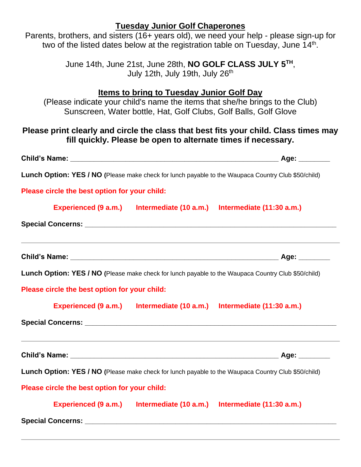### **Tuesday Junior Golf Chaperones**

Parents, brothers, and sisters (16+ years old), we need your help - please sign-up for two of the listed dates below at the registration table on Tuesday, June 14<sup>th</sup>.

> June 14th, June 21st, June 28th, **NO GOLF CLASS JULY 5TH** , July 12th, July 19th, July 26<sup>th</sup>

#### **Items to bring to Tuesday Junior Golf Day**

(Please indicate your child's name the items that she/he brings to the Club) Sunscreen, Water bottle, Hat, Golf Clubs, Golf Balls, Golf Glove

### **Please print clearly and circle the class that best fits your child. Class times may fill quickly. Please be open to alternate times if necessary.**

|                                               | _ Age: ________                                                                                     |
|-----------------------------------------------|-----------------------------------------------------------------------------------------------------|
|                                               | Lunch Option: YES / NO (Please make check for lunch payable to the Waupaca Country Club \$50/child) |
| Please circle the best option for your child: |                                                                                                     |
|                                               | Experienced (9 a.m.) Intermediate (10 a.m.) Intermediate (11:30 a.m.)                               |
|                                               |                                                                                                     |
|                                               |                                                                                                     |
|                                               | Lunch Option: YES / NO (Please make check for lunch payable to the Waupaca Country Club \$50/child) |
| Please circle the best option for your child: |                                                                                                     |
|                                               | Experienced (9 a.m.) Intermediate (10 a.m.) Intermediate (11:30 a.m.)                               |
|                                               |                                                                                                     |
|                                               |                                                                                                     |
|                                               |                                                                                                     |
|                                               | Lunch Option: YES / NO (Please make check for lunch payable to the Waupaca Country Club \$50/child) |
|                                               |                                                                                                     |
| Please circle the best option for your child: | Experienced (9 a.m.) Intermediate (10 a.m.) Intermediate (11:30 a.m.)                               |